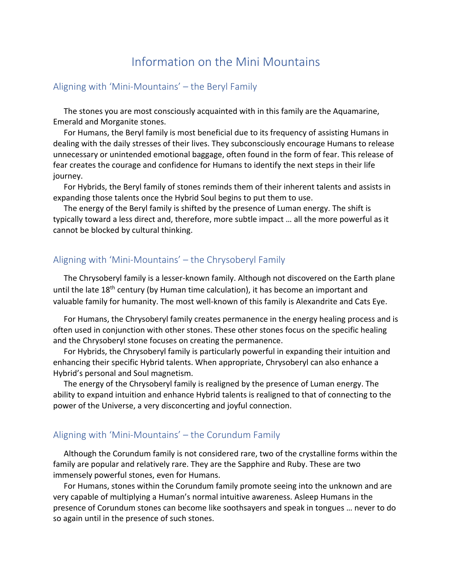# Information on the Mini Mountains

# Aligning with 'Mini-Mountains' – the Beryl Family

The stones you are most consciously acquainted with in this family are the Aquamarine, Emerald and Morganite stones.

For Humans, the Beryl family is most beneficial due to its frequency of assisting Humans in dealing with the daily stresses of their lives. They subconsciously encourage Humans to release unnecessary or unintended emotional baggage, often found in the form of fear. This release of fear creates the courage and confidence for Humans to identify the next steps in their life journey.

For Hybrids, the Beryl family of stones reminds them of their inherent talents and assists in expanding those talents once the Hybrid Soul begins to put them to use.

The energy of the Beryl family is shifted by the presence of Luman energy. The shift is typically toward a less direct and, therefore, more subtle impact … all the more powerful as it cannot be blocked by cultural thinking.

## Aligning with 'Mini-Mountains' – the Chrysoberyl Family

The Chrysoberyl family is a lesser-known family. Although not discovered on the Earth plane until the late  $18<sup>th</sup>$  century (by Human time calculation), it has become an important and valuable family for humanity. The most well-known of this family is Alexandrite and Cats Eye.

For Humans, the Chrysoberyl family creates permanence in the energy healing process and is often used in conjunction with other stones. These other stones focus on the specific healing and the Chrysoberyl stone focuses on creating the permanence.

For Hybrids, the Chrysoberyl family is particularly powerful in expanding their intuition and enhancing their specific Hybrid talents. When appropriate, Chrysoberyl can also enhance a Hybrid's personal and Soul magnetism.

The energy of the Chrysoberyl family is realigned by the presence of Luman energy. The ability to expand intuition and enhance Hybrid talents is realigned to that of connecting to the power of the Universe, a very disconcerting and joyful connection.

#### Aligning with 'Mini-Mountains' – the Corundum Family

Although the Corundum family is not considered rare, two of the crystalline forms within the family are popular and relatively rare. They are the Sapphire and Ruby. These are two immensely powerful stones, even for Humans.

For Humans, stones within the Corundum family promote seeing into the unknown and are very capable of multiplying a Human's normal intuitive awareness. Asleep Humans in the presence of Corundum stones can become like soothsayers and speak in tongues … never to do so again until in the presence of such stones.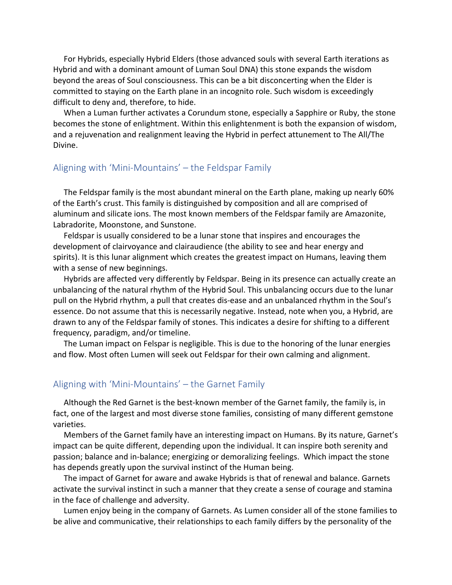For Hybrids, especially Hybrid Elders (those advanced souls with several Earth iterations as Hybrid and with a dominant amount of Luman Soul DNA) this stone expands the wisdom beyond the areas of Soul consciousness. This can be a bit disconcerting when the Elder is committed to staying on the Earth plane in an incognito role. Such wisdom is exceedingly difficult to deny and, therefore, to hide.

When a Luman further activates a Corundum stone, especially a Sapphire or Ruby, the stone becomes the stone of enlightment. Within this enlightenment is both the expansion of wisdom, and a rejuvenation and realignment leaving the Hybrid in perfect attunement to The All/The Divine.

# Aligning with 'Mini-Mountains' – the Feldspar Family

The Feldspar family is the most abundant mineral on the Earth plane, making up nearly 60% of the Earth's crust. This family is distinguished by composition and all are comprised of aluminum and silicate ions. The most known members of the Feldspar family are Amazonite, Labradorite, Moonstone, and Sunstone.

Feldspar is usually considered to be a lunar stone that inspires and encourages the development of clairvoyance and clairaudience (the ability to see and hear energy and spirits). It is this lunar alignment which creates the greatest impact on Humans, leaving them with a sense of new beginnings.

Hybrids are affected very differently by Feldspar. Being in its presence can actually create an unbalancing of the natural rhythm of the Hybrid Soul. This unbalancing occurs due to the lunar pull on the Hybrid rhythm, a pull that creates dis-ease and an unbalanced rhythm in the Soul's essence. Do not assume that this is necessarily negative. Instead, note when you, a Hybrid, are drawn to any of the Feldspar family of stones. This indicates a desire for shifting to a different frequency, paradigm, and/or timeline.

The Luman impact on Felspar is negligible. This is due to the honoring of the lunar energies and flow. Most often Lumen will seek out Feldspar for their own calming and alignment.

# Aligning with 'Mini-Mountains' – the Garnet Family

Although the Red Garnet is the best-known member of the Garnet family, the family is, in fact, one of the largest and most diverse stone families, consisting of many different gemstone varieties.

Members of the Garnet family have an interesting impact on Humans. By its nature, Garnet's impact can be quite different, depending upon the individual. It can inspire both serenity and passion; balance and in-balance; energizing or demoralizing feelings. Which impact the stone has depends greatly upon the survival instinct of the Human being.

The impact of Garnet for aware and awake Hybrids is that of renewal and balance. Garnets activate the survival instinct in such a manner that they create a sense of courage and stamina in the face of challenge and adversity.

Lumen enjoy being in the company of Garnets. As Lumen consider all of the stone families to be alive and communicative, their relationships to each family differs by the personality of the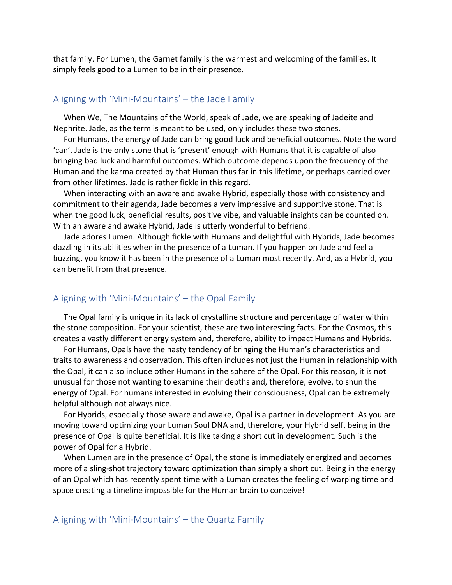that family. For Lumen, the Garnet family is the warmest and welcoming of the families. It simply feels good to a Lumen to be in their presence.

#### Aligning with 'Mini-Mountains' – the Jade Family

When We, The Mountains of the World, speak of Jade, we are speaking of Jadeite and Nephrite. Jade, as the term is meant to be used, only includes these two stones.

For Humans, the energy of Jade can bring good luck and beneficial outcomes. Note the word 'can'. Jade is the only stone that is 'present' enough with Humans that it is capable of also bringing bad luck and harmful outcomes. Which outcome depends upon the frequency of the Human and the karma created by that Human thus far in this lifetime, or perhaps carried over from other lifetimes. Jade is rather fickle in this regard.

When interacting with an aware and awake Hybrid, especially those with consistency and commitment to their agenda, Jade becomes a very impressive and supportive stone. That is when the good luck, beneficial results, positive vibe, and valuable insights can be counted on. With an aware and awake Hybrid, Jade is utterly wonderful to befriend.

Jade adores Lumen. Although fickle with Humans and delightful with Hybrids, Jade becomes dazzling in its abilities when in the presence of a Luman. If you happen on Jade and feel a buzzing, you know it has been in the presence of a Luman most recently. And, as a Hybrid, you can benefit from that presence.

#### Aligning with 'Mini-Mountains' – the Opal Family

The Opal family is unique in its lack of crystalline structure and percentage of water within the stone composition. For your scientist, these are two interesting facts. For the Cosmos, this creates a vastly different energy system and, therefore, ability to impact Humans and Hybrids.

For Humans, Opals have the nasty tendency of bringing the Human's characteristics and traits to awareness and observation. This often includes not just the Human in relationship with the Opal, it can also include other Humans in the sphere of the Opal. For this reason, it is not unusual for those not wanting to examine their depths and, therefore, evolve, to shun the energy of Opal. For humans interested in evolving their consciousness, Opal can be extremely helpful although not always nice.

For Hybrids, especially those aware and awake, Opal is a partner in development. As you are moving toward optimizing your Luman Soul DNA and, therefore, your Hybrid self, being in the presence of Opal is quite beneficial. It is like taking a short cut in development. Such is the power of Opal for a Hybrid.

When Lumen are in the presence of Opal, the stone is immediately energized and becomes more of a sling-shot trajectory toward optimization than simply a short cut. Being in the energy of an Opal which has recently spent time with a Luman creates the feeling of warping time and space creating a timeline impossible for the Human brain to conceive!

#### Aligning with 'Mini-Mountains' – the Quartz Family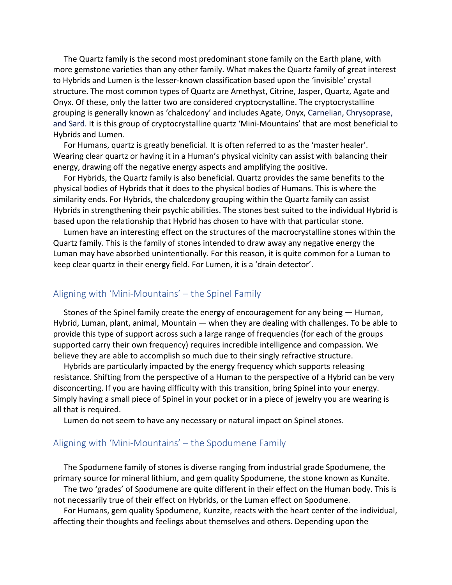The Quartz family is the second most predominant stone family on the Earth plane, with more gemstone varieties than any other family. What makes the Quartz family of great interest to Hybrids and Lumen is the lesser-known classification based upon the 'invisible' crystal structure. The most common types of Quartz are Amethyst, Citrine, Jasper, Quartz, Agate and Onyx. Of these, only the latter two are considered cryptocrystalline. The cryptocrystalline grouping is generally known as 'chalcedony' and includes Agate, Onyx, Carnelian, Chrysoprase, and Sard. It is this group of cryptocrystalline quartz 'Mini-Mountains' that are most beneficial to Hybrids and Lumen.

For Humans, quartz is greatly beneficial. It is often referred to as the 'master healer'. Wearing clear quartz or having it in a Human's physical vicinity can assist with balancing their energy, drawing off the negative energy aspects and amplifying the positive.

For Hybrids, the Quartz family is also beneficial. Quartz provides the same benefits to the physical bodies of Hybrids that it does to the physical bodies of Humans. This is where the similarity ends. For Hybrids, the chalcedony grouping within the Quartz family can assist Hybrids in strengthening their psychic abilities. The stones best suited to the individual Hybrid is based upon the relationship that Hybrid has chosen to have with that particular stone.

Lumen have an interesting effect on the structures of the macrocrystalline stones within the Quartz family. This is the family of stones intended to draw away any negative energy the Luman may have absorbed unintentionally. For this reason, it is quite common for a Luman to keep clear quartz in their energy field. For Lumen, it is a 'drain detector'.

# Aligning with 'Mini-Mountains' – the Spinel Family

Stones of the Spinel family create the energy of encouragement for any being — Human, Hybrid, Luman, plant, animal, Mountain — when they are dealing with challenges. To be able to provide this type of support across such a large range of frequencies (for each of the groups supported carry their own frequency) requires incredible intelligence and compassion. We believe they are able to accomplish so much due to their singly refractive structure.

Hybrids are particularly impacted by the energy frequency which supports releasing resistance. Shifting from the perspective of a Human to the perspective of a Hybrid can be very disconcerting. If you are having difficulty with this transition, bring Spinel into your energy. Simply having a small piece of Spinel in your pocket or in a piece of jewelry you are wearing is all that is required.

Lumen do not seem to have any necessary or natural impact on Spinel stones.

# Aligning with 'Mini-Mountains' – the Spodumene Family

The Spodumene family of stones is diverse ranging from industrial grade Spodumene, the primary source for mineral lithium, and gem quality Spodumene, the stone known as Kunzite. The two 'grades' of Spodumene are quite different in their effect on the Human body. This is not necessarily true of their effect on Hybrids, or the Luman effect on Spodumene.

For Humans, gem quality Spodumene, Kunzite, reacts with the heart center of the individual, affecting their thoughts and feelings about themselves and others. Depending upon the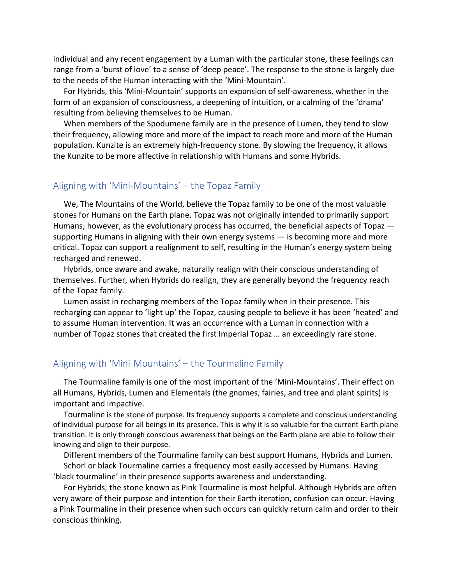individual and any recent engagement by a Luman with the particular stone, these feelings can range from a 'burst of love' to a sense of 'deep peace'. The response to the stone is largely due to the needs of the Human interacting with the 'Mini-Mountain'.

For Hybrids, this 'Mini-Mountain' supports an expansion of self-awareness, whether in the form of an expansion of consciousness, a deepening of intuition, or a calming of the 'drama' resulting from believing themselves to be Human.

When members of the Spodumene family are in the presence of Lumen, they tend to slow their frequency, allowing more and more of the impact to reach more and more of the Human population. Kunzite is an extremely high-frequency stone. By slowing the frequency, it allows the Kunzite to be more affective in relationship with Humans and some Hybrids.

#### Aligning with 'Mini-Mountains' – the Topaz Family

We, The Mountains of the World, believe the Topaz family to be one of the most valuable stones for Humans on the Earth plane. Topaz was not originally intended to primarily support Humans; however, as the evolutionary process has occurred, the beneficial aspects of Topaz supporting Humans in aligning with their own energy systems  $-$  is becoming more and more critical. Topaz can support a realignment to self, resulting in the Human's energy system being recharged and renewed.

Hybrids, once aware and awake, naturally realign with their conscious understanding of themselves. Further, when Hybrids do realign, they are generally beyond the frequency reach of the Topaz family.

Lumen assist in recharging members of the Topaz family when in their presence. This recharging can appear to 'light up' the Topaz, causing people to believe it has been 'heated' and to assume Human intervention. It was an occurrence with a Luman in connection with a number of Topaz stones that created the first Imperial Topaz … an exceedingly rare stone.

# Aligning with 'Mini-Mountains' – the Tourmaline Family

The Tourmaline family is one of the most important of the 'Mini-Mountains'. Their effect on all Humans, Hybrids, Lumen and Elementals (the gnomes, fairies, and tree and plant spirits) is important and impactive.

Tourmaline is the stone of purpose. Its frequency supports a complete and conscious understanding of individual purpose for all beings in its presence. This is why it is so valuable for the current Earth plane transition. It is only through conscious awareness that beings on the Earth plane are able to follow their knowing and align to their purpose.

Different members of the Tourmaline family can best support Humans, Hybrids and Lumen. Schorl or black Tourmaline carries a frequency most easily accessed by Humans. Having 'black tourmaline' in their presence supports awareness and understanding.

For Hybrids, the stone known as Pink Tourmaline is most helpful. Although Hybrids are often very aware of their purpose and intention for their Earth iteration, confusion can occur. Having a Pink Tourmaline in their presence when such occurs can quickly return calm and order to their conscious thinking.